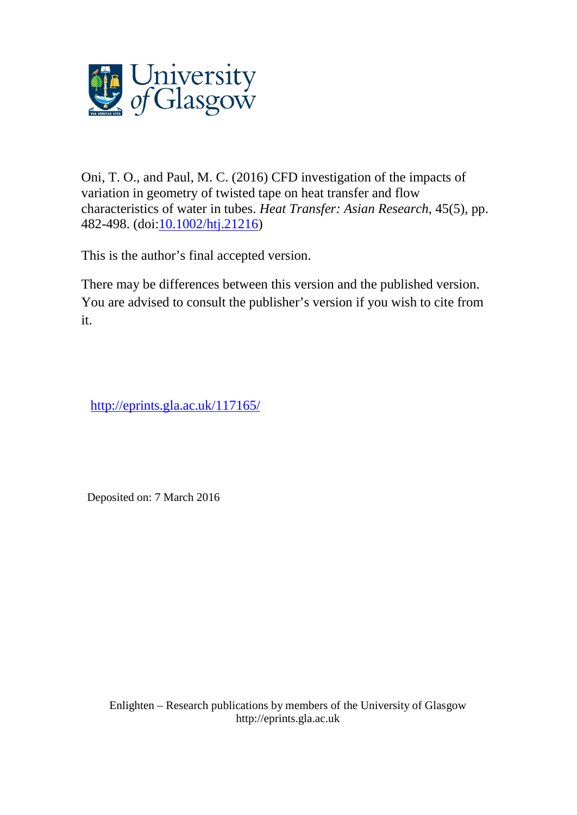

Oni, T. O., and Paul, M. C. (2016) CFD investigation of the impacts of variation in geometry of twisted tape on heat transfer and flow characteristics of water in tubes. *Heat Transfer: Asian Research*, 45(5), pp. 482-498. (doi[:10.1002/htj.21216\)](http://dx.doi.org/10.1002/htj.21216)

This is the author's final accepted version.

There may be differences between this version and the published version. You are advised to consult the publisher's version if you wish to cite from it.

<http://eprints.gla.ac.uk/117165/>

Deposited on: 7 March 2016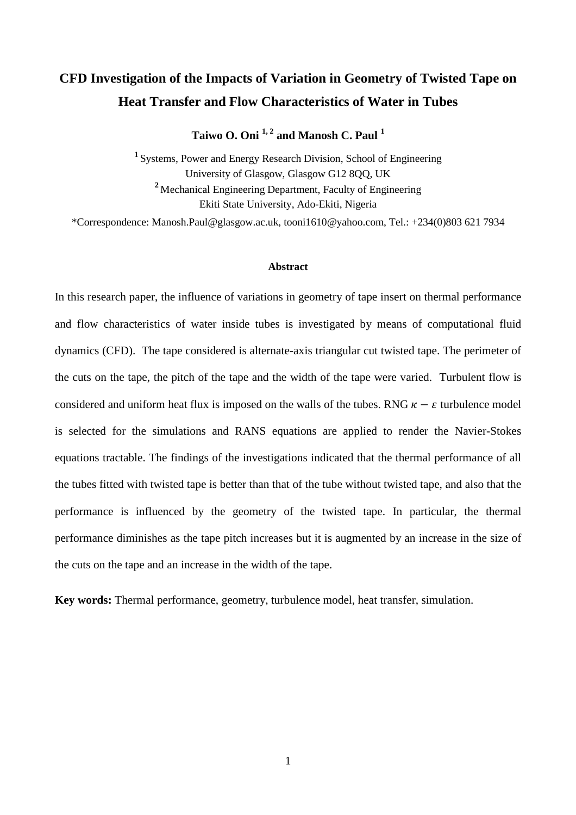# **CFD Investigation of the Impacts of Variation in Geometry of Twisted Tape on Heat Transfer and Flow Characteristics of Water in Tubes**

**Taiwo O. Oni 1, 2 and Manosh C. Paul <sup>1</sup>**

<sup>1</sup> Systems, Power and Energy Research Division, School of Engineering University of Glasgow, Glasgow G12 8QQ, UK **<sup>2</sup>** Mechanical Engineering Department, Faculty of Engineering Ekiti State University, Ado-Ekiti, Nigeria

\*Correspondence: Manosh.Paul@glasgow.ac.uk, tooni1610@yahoo.com, Tel.: +234(0)803 621 7934

## **Abstract**

In this research paper, the influence of variations in geometry of tape insert on thermal performance and flow characteristics of water inside tubes is investigated by means of computational fluid dynamics (CFD). The tape considered is alternate-axis triangular cut twisted tape. The perimeter of the cuts on the tape, the pitch of the tape and the width of the tape were varied. Turbulent flow is considered and uniform heat flux is imposed on the walls of the tubes. RNG  $\kappa - \varepsilon$  turbulence model is selected for the simulations and RANS equations are applied to render the Navier-Stokes equations tractable. The findings of the investigations indicated that the thermal performance of all the tubes fitted with twisted tape is better than that of the tube without twisted tape, and also that the performance is influenced by the geometry of the twisted tape. In particular, the thermal performance diminishes as the tape pitch increases but it is augmented by an increase in the size of the cuts on the tape and an increase in the width of the tape.

**Key words:** Thermal performance, geometry, turbulence model, heat transfer, simulation.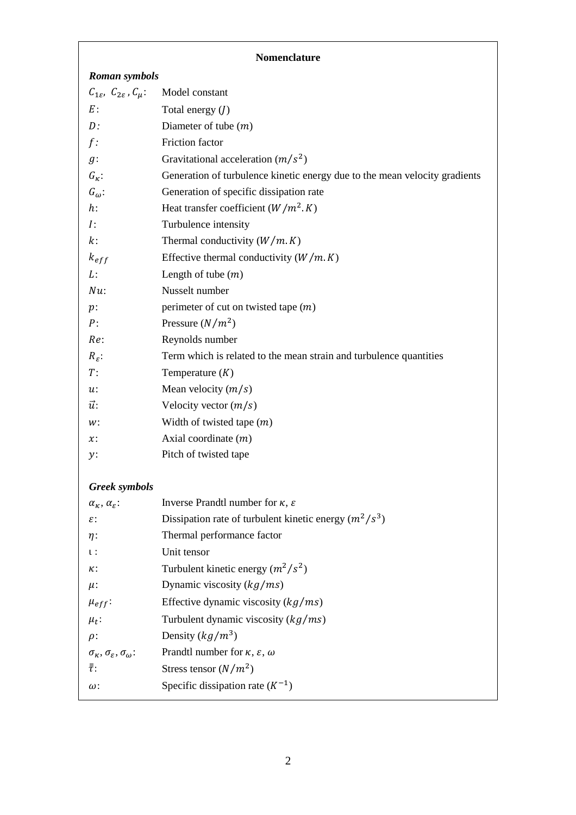# **Nomenclature**

| <b>Roman symbols</b>                                                   |                                                                            |
|------------------------------------------------------------------------|----------------------------------------------------------------------------|
| $C_{1\varepsilon}$ , $C_{2\varepsilon}$ , $C_{\mu}$ :                  | Model constant                                                             |
| $E$ :                                                                  | Total energy $(J)$                                                         |
| D:                                                                     | Diameter of tube $(m)$                                                     |
| $f$ :                                                                  | Friction factor                                                            |
| $g$ :                                                                  | Gravitational acceleration $(m/s^2)$                                       |
| $G_{\kappa}$ :                                                         | Generation of turbulence kinetic energy due to the mean velocity gradients |
| $G_{\omega}$ :                                                         | Generation of specific dissipation rate                                    |
| $h$ :                                                                  | Heat transfer coefficient $(W/m^2, K)$                                     |
| $I$ :                                                                  | Turbulence intensity                                                       |
| $k$ :                                                                  | Thermal conductivity $(W/m, K)$                                            |
| $k_{eff}$                                                              | Effective thermal conductivity $(W/m, K)$                                  |
| L:                                                                     | Length of tube $(m)$                                                       |
| $N\mathfrak{u}$ :                                                      | Nusselt number                                                             |
| $p$ :                                                                  | perimeter of cut on twisted tape $(m)$                                     |
| P:                                                                     | Pressure $(N/m^2)$                                                         |
| Re:                                                                    | Reynolds number                                                            |
| $R_{\varepsilon}$ :                                                    | Term which is related to the mean strain and turbulence quantities         |
| $T$ :                                                                  | Temperature $(K)$                                                          |
| $u$ :                                                                  | Mean velocity $(m/s)$                                                      |
| $\vec{u}$ :                                                            | Velocity vector $(m/s)$                                                    |
| w:                                                                     | Width of twisted tape $(m)$                                                |
| $\mathfrak{x}$ :                                                       | Axial coordinate $(m)$                                                     |
| y:                                                                     | Pitch of twisted tape                                                      |
|                                                                        |                                                                            |
| <b>Greek</b> symbols                                                   | Inverse Prandtl number for $\kappa$ , $\varepsilon$                        |
| $\alpha_{\kappa}, \alpha_{\varepsilon}$ :<br>ε:                        | Dissipation rate of turbulent kinetic energy $(m^2/s^3)$                   |
|                                                                        | Thermal performance factor                                                 |
| $\eta$ :<br>ι:                                                         | Unit tensor                                                                |
| к:                                                                     | Turbulent kinetic energy $(m^2/s^2)$                                       |
|                                                                        | Dynamic viscosity $(kg/ms)$                                                |
| $\mu$ :                                                                | Effective dynamic viscosity $(kg/ms)$                                      |
| $\mu_{eff}$ :                                                          | Turbulent dynamic viscosity $(kg/ms)$                                      |
| $\mu_t$ :                                                              | Density $(kg/m^3)$                                                         |
| $\rho$ :<br>$\sigma_{\kappa}, \sigma_{\varepsilon}, \sigma_{\omega}$ : | Prandtl number for $\kappa$ , $\varepsilon$ , $\omega$                     |
| $\bar{\bar{\tau}}$ :                                                   | Stress tensor $(N/m^2)$                                                    |
|                                                                        | Specific dissipation rate $(K^{-1})$                                       |
| ω:                                                                     |                                                                            |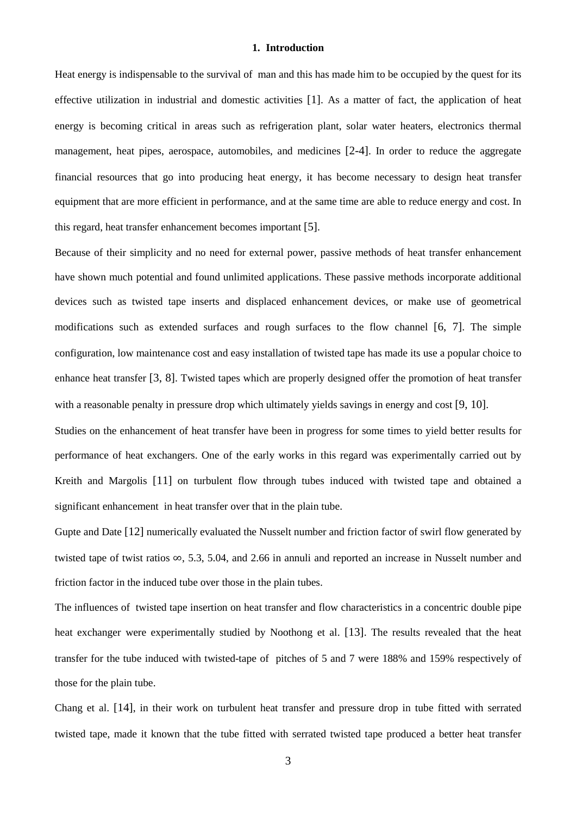## **1. Introduction**

Heat energy is indispensable to the survival of man and this has made him to be occupied by the quest for its effective utilization in industrial and domestic activities [1]. As a matter of fact, the application of heat energy is becoming critical in areas such as refrigeration plant, solar water heaters, electronics thermal management, heat pipes, aerospace, automobiles, and medicines [2-4]. In order to reduce the aggregate financial resources that go into producing heat energy, it has become necessary to design heat transfer equipment that are more efficient in performance, and at the same time are able to reduce energy and cost. In this regard, heat transfer enhancement becomes important [5].

Because of their simplicity and no need for external power, passive methods of heat transfer enhancement have shown much potential and found unlimited applications. These passive methods incorporate additional devices such as twisted tape inserts and displaced enhancement devices, or make use of geometrical modifications such as extended surfaces and rough surfaces to the flow channel [6, 7]. The simple configuration, low maintenance cost and easy installation of twisted tape has made its use a popular choice to enhance heat transfer [3, 8]. Twisted tapes which are properly designed offer the promotion of heat transfer with a reasonable penalty in pressure drop which ultimately yields savings in energy and cost [9, 10].

Studies on the enhancement of heat transfer have been in progress for some times to yield better results for performance of heat exchangers. One of the early works in this regard was experimentally carried out by Kreith and Margolis [11] on turbulent flow through tubes induced with twisted tape and obtained a significant enhancement in heat transfer over that in the plain tube.

Gupte and Date [12] numerically evaluated the Nusselt number and friction factor of swirl flow generated by twisted tape of twist ratios  $\infty$ , 5.3, 5.04, and 2.66 in annuli and reported an increase in Nusselt number and friction factor in the induced tube over those in the plain tubes.

The influences of twisted tape insertion on heat transfer and flow characteristics in a concentric double pipe heat exchanger were experimentally studied by Noothong et al. [13]. The results revealed that the heat transfer for the tube induced with twisted-tape of pitches of 5 and 7 were 188% and 159% respectively of those for the plain tube.

Chang et al. [14], in their work on turbulent heat transfer and pressure drop in tube fitted with serrated twisted tape, made it known that the tube fitted with serrated twisted tape produced a better heat transfer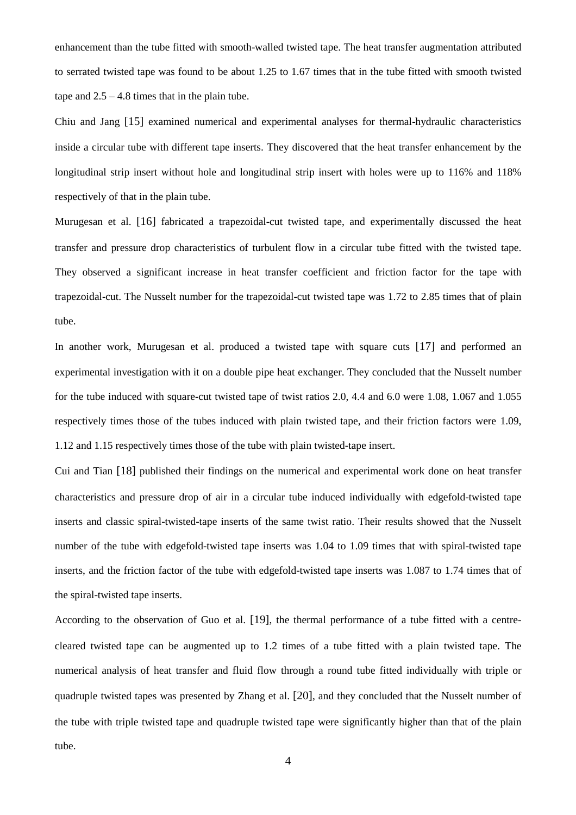enhancement than the tube fitted with smooth-walled twisted tape. The heat transfer augmentation attributed to serrated twisted tape was found to be about 1.25 to 1.67 times that in the tube fitted with smooth twisted tape and  $2.5 - 4.8$  times that in the plain tube.

Chiu and Jang [15] examined numerical and experimental analyses for thermal-hydraulic characteristics inside a circular tube with different tape inserts. They discovered that the heat transfer enhancement by the longitudinal strip insert without hole and longitudinal strip insert with holes were up to 116% and 118% respectively of that in the plain tube.

Murugesan et al. [16] fabricated a trapezoidal-cut twisted tape, and experimentally discussed the heat transfer and pressure drop characteristics of turbulent flow in a circular tube fitted with the twisted tape. They observed a significant increase in heat transfer coefficient and friction factor for the tape with trapezoidal-cut. The Nusselt number for the trapezoidal-cut twisted tape was 1.72 to 2.85 times that of plain tube.

In another work, Murugesan et al. produced a twisted tape with square cuts [17] and performed an experimental investigation with it on a double pipe heat exchanger. They concluded that the Nusselt number for the tube induced with square-cut twisted tape of twist ratios 2.0, 4.4 and 6.0 were 1.08, 1.067 and 1.055 respectively times those of the tubes induced with plain twisted tape, and their friction factors were 1.09, 1.12 and 1.15 respectively times those of the tube with plain twisted-tape insert.

Cui and Tian [18] published their findings on the numerical and experimental work done on heat transfer characteristics and pressure drop of air in a circular tube induced individually with edgefold-twisted tape inserts and classic spiral-twisted-tape inserts of the same twist ratio. Their results showed that the Nusselt number of the tube with edgefold-twisted tape inserts was 1.04 to 1.09 times that with spiral-twisted tape inserts, and the friction factor of the tube with edgefold-twisted tape inserts was 1.087 to 1.74 times that of the spiral-twisted tape inserts.

According to the observation of Guo et al. [19], the thermal performance of a tube fitted with a centrecleared twisted tape can be augmented up to 1.2 times of a tube fitted with a plain twisted tape. The numerical analysis of heat transfer and fluid flow through a round tube fitted individually with triple or quadruple twisted tapes was presented by Zhang et al. [20], and they concluded that the Nusselt number of the tube with triple twisted tape and quadruple twisted tape were significantly higher than that of the plain tube.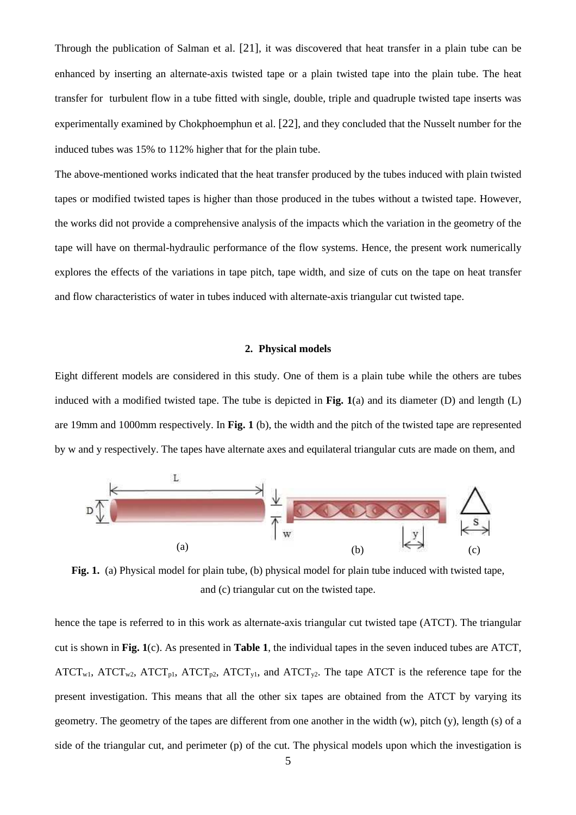Through the publication of Salman et al. [21], it was discovered that heat transfer in a plain tube can be enhanced by inserting an alternate-axis twisted tape or a plain twisted tape into the plain tube. The heat transfer for turbulent flow in a tube fitted with single, double, triple and quadruple twisted tape inserts was experimentally examined by Chokphoemphun et al. [22], and they concluded that the Nusselt number for the induced tubes was 15% to 112% higher that for the plain tube.

The above-mentioned works indicated that the heat transfer produced by the tubes induced with plain twisted tapes or modified twisted tapes is higher than those produced in the tubes without a twisted tape. However, the works did not provide a comprehensive analysis of the impacts which the variation in the geometry of the tape will have on thermal-hydraulic performance of the flow systems. Hence, the present work numerically explores the effects of the variations in tape pitch, tape width, and size of cuts on the tape on heat transfer and flow characteristics of water in tubes induced with alternate-axis triangular cut twisted tape.

## **2. Physical models**

Eight different models are considered in this study. One of them is a plain tube while the others are tubes induced with a modified twisted tape. The tube is depicted in **Fig. 1**(a) and its diameter (D) and length (L) are 19mm and 1000mm respectively. In **Fig. 1** (b), the width and the pitch of the twisted tape are represented by w and y respectively. The tapes have alternate axes and equilateral triangular cuts are made on them, and



**Fig. 1.** (a) Physical model for plain tube, (b) physical model for plain tube induced with twisted tape, and (c) triangular cut on the twisted tape.

hence the tape is referred to in this work as alternate-axis triangular cut twisted tape (ATCT). The triangular cut is shown in **Fig. 1**(c). As presented in **Table 1**, the individual tapes in the seven induced tubes are ATCT,  $ATCT_{w1}$ ,  $ATCT_{w2}$ ,  $ATCT_{p1}$ ,  $ATCT_{p2}$ ,  $ATCT_{v1}$ , and  $ATCT_{v2}$ . The tape ATCT is the reference tape for the present investigation. This means that all the other six tapes are obtained from the ATCT by varying its geometry. The geometry of the tapes are different from one another in the width (w), pitch (y), length (s) of a side of the triangular cut, and perimeter (p) of the cut. The physical models upon which the investigation is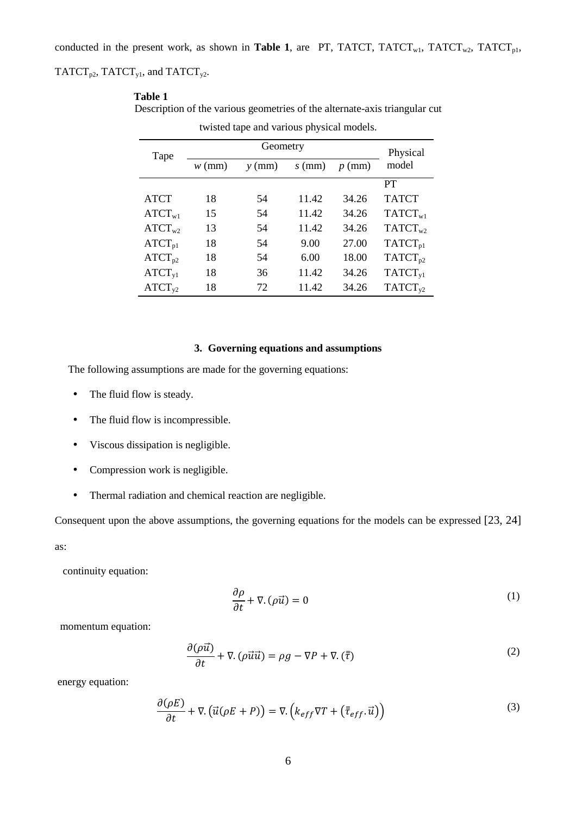## $TATCT_{p2}$ ,  $TATCT_{y1}$ , and  $TATCT_{y2}$ .

## **Table 1**

Description of the various geometries of the alternate-axis triangular cut

| Tape               | Geometry |          |          |          | Physical            |
|--------------------|----------|----------|----------|----------|---------------------|
|                    | $w$ (mm) | $y$ (mm) | $s$ (mm) | $p$ (mm) | model               |
|                    |          |          |          |          | PT                  |
| <b>ATCT</b>        | 18       | 54       | 11.42    | 34.26    | <b>TATCT</b>        |
| $ATCT_{w1}$        | 15       | 54       | 11.42    | 34.26    | $TATCT_{w1}$        |
| $ATCT_{w2}$        | 13       | 54       | 11.42    | 34.26    | $TATCT_{w2}$        |
| $ATCT_{p1}$        | 18       | 54       | 9.00     | 27.00    | TATCT <sub>p1</sub> |
| $ATCT_{p2}$        | 18       | 54       | 6.00     | 18.00    | $TATCT_{p2}$        |
| $ATCT_{vl}$        | 18       | 36       | 11.42    | 34.26    | TATCT <sub>v1</sub> |
| ATCT <sub>v2</sub> | 18       | 72       | 11.42    | 34.26    | TATCT <sub>y2</sub> |

twisted tape and various physical models.

## **3. Governing equations and assumptions**

The following assumptions are made for the governing equations:

- The fluid flow is steady.
- The fluid flow is incompressible.
- Viscous dissipation is negligible.
- Compression work is negligible.
- Thermal radiation and chemical reaction are negligible.

Consequent upon the above assumptions, the governing equations for the models can be expressed [23, 24]

as:

continuity equation:

$$
\frac{\partial \rho}{\partial t} + \nabla \cdot (\rho \vec{u}) = 0 \tag{1}
$$

momentum equation:

$$
\frac{\partial(\rho \vec{u})}{\partial t} + \nabla \cdot (\rho \vec{u} \vec{u}) = \rho g - \nabla P + \nabla \cdot (\bar{\tau})
$$
\n(2)

energy equation:

$$
\frac{\partial(\rho E)}{\partial t} + \nabla \cdot (\vec{u}(\rho E + P)) = \nabla \cdot (k_{eff} \nabla T + (\bar{\bar{\tau}}_{eff} \cdot \vec{u}))
$$
\n(3)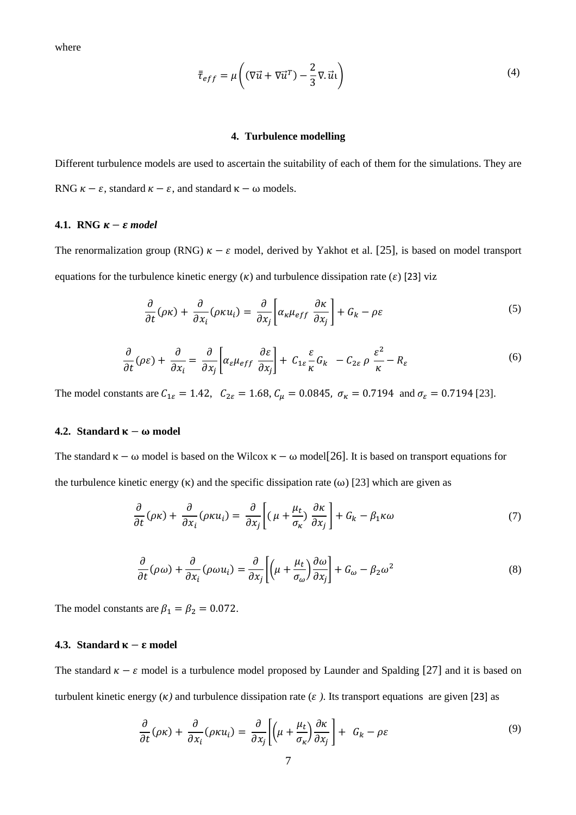$$
\bar{\tau}_{eff} = \mu \left( (\nabla \vec{u} + \nabla \vec{u}^T) - \frac{2}{3} \nabla \cdot \vec{u} \mathbf{1} \right)
$$
\n(4)

## **4. Turbulence modelling**

Different turbulence models are used to ascertain the suitability of each of them for the simulations. They are RNG  $\kappa - \varepsilon$ , standard  $\kappa - \varepsilon$ , and standard  $\kappa - \omega$  models.

#### **4.1. RNG**  $\kappa - \varepsilon$  model

The renormalization group (RNG)  $\kappa - \varepsilon$  model, derived by Yakhot et al. [25], is based on model transport equations for the turbulence kinetic energy  $(\kappa)$  and turbulence dissipation rate ( $\varepsilon$ ) [23] viz

$$
\frac{\partial}{\partial t}(\rho \kappa) + \frac{\partial}{\partial x_i}(\rho \kappa u_i) = \frac{\partial}{\partial x_j} \left[ \alpha_\kappa \mu_{eff} \frac{\partial \kappa}{\partial x_j} \right] + G_k - \rho \varepsilon \tag{5}
$$

$$
\frac{\partial}{\partial t}(\rho \varepsilon) + \frac{\partial}{\partial x_i} = \frac{\partial}{\partial x_j} \left[ \alpha_{\varepsilon} \mu_{eff} \frac{\partial \varepsilon}{\partial x_j} \right] + C_{1\varepsilon} \frac{\varepsilon}{\kappa} G_k - C_{2\varepsilon} \rho \frac{\varepsilon^2}{\kappa} - R_{\varepsilon} \tag{6}
$$

The model constants are  $C_{1\epsilon} = 1.42$ ,  $C_{2\epsilon} = 1.68$ ,  $C_{\mu} = 0.0845$ ,  $\sigma_{\kappa} = 0.7194$  and  $\sigma_{\epsilon} = 0.7194$  [23].

## **4.2. Standard**  $\kappa - \omega$  model

The standard  $\kappa - \omega$  model is based on the Wilcox  $\kappa - \omega$  model[26]. It is based on transport equations for the turbulence kinetic energy  $(\kappa)$  and the specific dissipation rate  $(\omega)$  [23] which are given as

$$
\frac{\partial}{\partial t}(\rho \kappa) + \frac{\partial}{\partial x_i}(\rho \kappa u_i) = \frac{\partial}{\partial x_j} \left[ (\mu + \frac{\mu_t}{\sigma_\kappa}) \frac{\partial \kappa}{\partial x_j} \right] + G_k - \beta_1 \kappa \omega \tag{7}
$$

$$
\frac{\partial}{\partial t}(\rho\omega) + \frac{\partial}{\partial x_i}(\rho\omega u_i) = \frac{\partial}{\partial x_j} \left[ \left( \mu + \frac{\mu_t}{\sigma_\omega} \right) \frac{\partial \omega}{\partial x_j} \right] + G_\omega - \beta_2 \omega^2 \tag{8}
$$

The model constants are  $\beta_1 = \beta_2 = 0.072$ .

#### **4.3. Standard**  $\kappa - \varepsilon$  model

The standard  $\kappa - \varepsilon$  model is a turbulence model proposed by Launder and Spalding [27] and it is based on turbulent kinetic energy ( $\kappa$ ) and turbulence dissipation rate ( $\varepsilon$ ). Its transport equations are given [23] as

$$
\frac{\partial}{\partial t}(\rho \kappa) + \frac{\partial}{\partial x_i}(\rho \kappa u_i) = \frac{\partial}{\partial x_j} \left[ \left( \mu + \frac{\mu_t}{\sigma_\kappa} \right) \frac{\partial \kappa}{\partial x_j} \right] + G_k - \rho \varepsilon \tag{9}
$$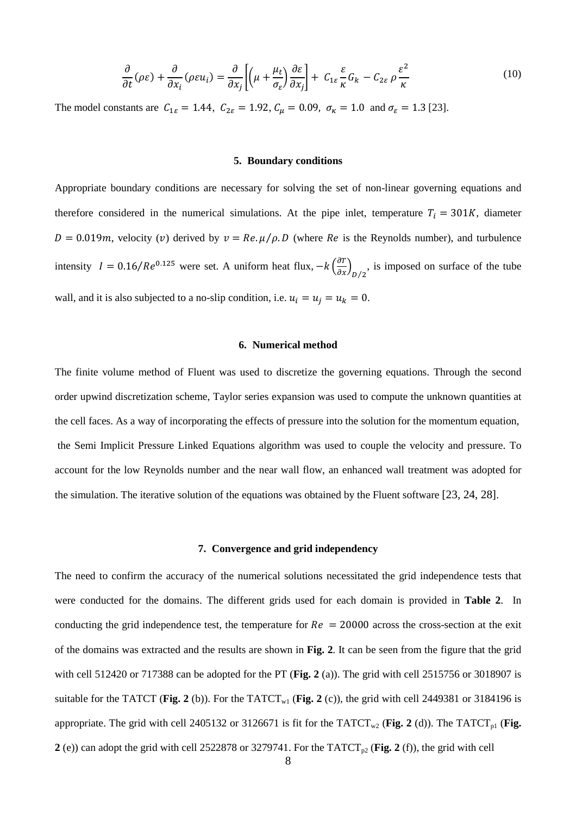$$
\frac{\partial}{\partial t}(\rho \varepsilon) + \frac{\partial}{\partial x_i}(\rho \varepsilon u_i) = \frac{\partial}{\partial x_j} \left[ \left( \mu + \frac{\mu_t}{\sigma_{\varepsilon}} \right) \frac{\partial \varepsilon}{\partial x_j} \right] + C_{1\varepsilon} \frac{\varepsilon}{\kappa} G_k - C_{2\varepsilon} \rho \frac{\varepsilon^2}{\kappa}
$$
(10)

The model constants are  $C_{1\epsilon} = 1.44$ ,  $C_{2\epsilon} = 1.92$ ,  $C_{\mu} = 0.09$ ,  $\sigma_{\kappa} = 1.0$  and  $\sigma_{\epsilon} = 1.3$  [23].

#### **5. Boundary conditions**

Appropriate boundary conditions are necessary for solving the set of non-linear governing equations and therefore considered in the numerical simulations. At the pipe inlet, temperature  $T_i = 301K$ , diameter  $D = 0.019m$ , velocity (v) derived by  $v = Re. \mu / \rho. D$  (where Re is the Reynolds number), and turbulence intensity  $I = 0.16/Re^{0.125}$  were set. A uniform heat flux,  $-k \left(\frac{\partial T}{\partial x}\right)_{D/2}$ , is imposed on surface of the tube wall, and it is also subjected to a no-slip condition, i.e.  $u_i = u_j = u_k = 0$ .

#### **6. Numerical method**

The finite volume method of Fluent was used to discretize the governing equations. Through the second order upwind discretization scheme, Taylor series expansion was used to compute the unknown quantities at the cell faces. As a way of incorporating the effects of pressure into the solution for the momentum equation, the Semi Implicit Pressure Linked Equations algorithm was used to couple the velocity and pressure. To account for the low Reynolds number and the near wall flow, an enhanced wall treatment was adopted for the simulation. The iterative solution of the equations was obtained by the Fluent software [23, 24, 28].

#### **7. Convergence and grid independency**

The need to confirm the accuracy of the numerical solutions necessitated the grid independence tests that were conducted for the domains. The different grids used for each domain is provided in **Table 2**. In conducting the grid independence test, the temperature for  $Re = 20000$  across the cross-section at the exit of the domains was extracted and the results are shown in **Fig. 2**. It can be seen from the figure that the grid with cell 512420 or 717388 can be adopted for the PT (**Fig. 2** (a)). The grid with cell 2515756 or 3018907 is suitable for the TATCT (**Fig. 2** (b)). For the TATCT<sub>w1</sub> (**Fig. 2** (c)), the grid with cell 2449381 or 3184196 is appropriate. The grid with cell 2405132 or 3126671 is fit for the TATCT<sub>w2</sub> (Fig. 2 (d)). The TATCT<sub>p1</sub> (Fig. **2** (e)) can adopt the grid with cell 2522878 or 3279741. For the TATCT<sub>p2</sub> (Fig. 2 (f)), the grid with cell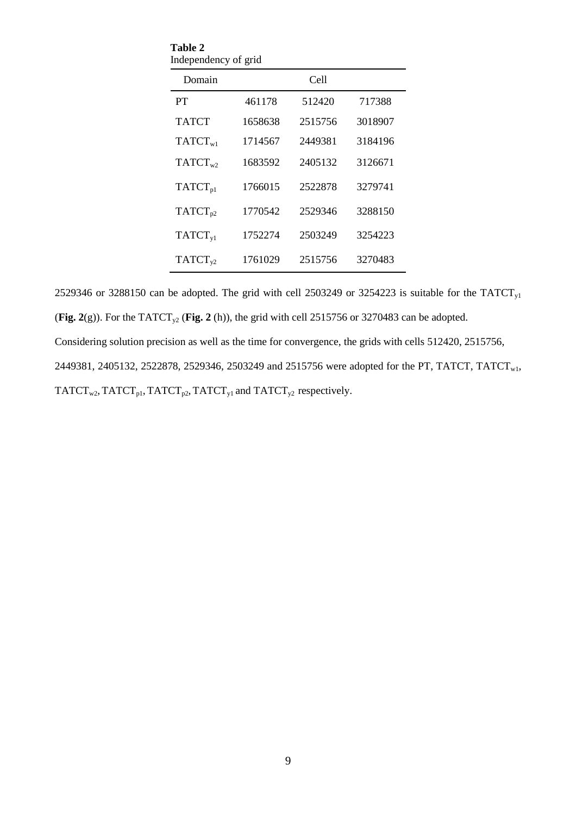| Domain              |         | Cell    |         |
|---------------------|---------|---------|---------|
| PT                  | 461178  | 512420  | 717388  |
| <b>TATCT</b>        | 1658638 | 2515756 | 3018907 |
| $TATCT_{w1}$        | 1714567 | 2449381 | 3184196 |
| $TATCT_{w2}$        | 1683592 | 2405132 | 3126671 |
| $TATCT_{p1}$        | 1766015 | 2522878 | 3279741 |
| TATCT <sub>p2</sub> | 1770542 | 2529346 | 3288150 |
| TATCT <sub>v1</sub> | 1752274 | 2503249 | 3254223 |
| $TATCT_{v2}$        | 1761029 | 2515756 | 3270483 |

**Table 2**

2529346 or 3288150 can be adopted. The grid with cell 2503249 or 3254223 is suitable for the TATCT<sub>y1</sub> (**Fig. 2**(g)). For the TATCT<sub>y2</sub> (**Fig. 2** (h)), the grid with cell 2515756 or 3270483 can be adopted. Considering solution precision as well as the time for convergence, the grids with cells 512420, 2515756, 2449381, 2405132, 2522878, 2529346, 2503249 and 2515756 were adopted for the PT, TATCT, TATCT<sub>w1</sub>, TATCT<sub>w2</sub>, TATCT<sub>p1</sub>, TATCT<sub>p2</sub>, TATCT<sub>y1</sub> and TATCT<sub>y2</sub> respectively.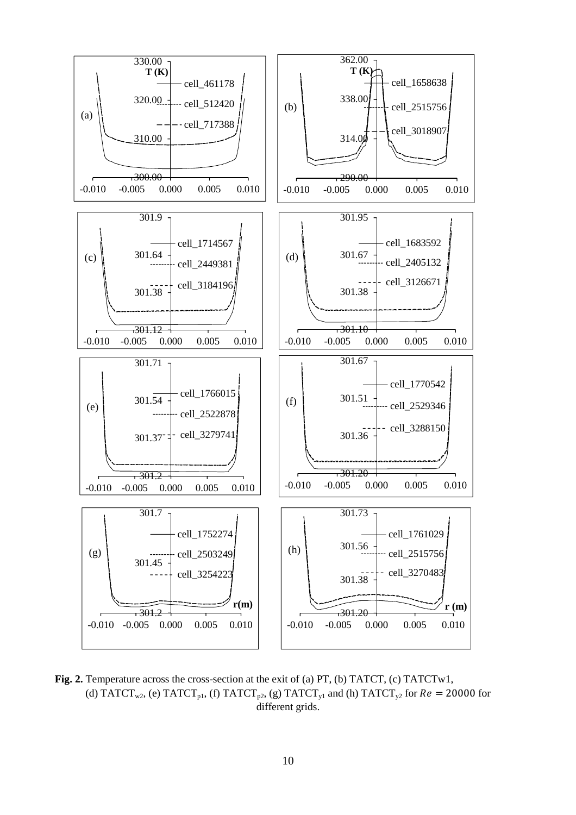

Fig. 2. Temperature across the cross-section at the exit of (a) PT, (b) TATCT, (c) TATCTw1, (d) TATCT<sub>w2</sub>, (e) TATCT<sub>p1</sub>, (f) TATCT<sub>p2</sub>, (g) TATCT<sub>y1</sub> and (h) TATCT<sub>y2</sub> for  $Re = 20000$  for different grids.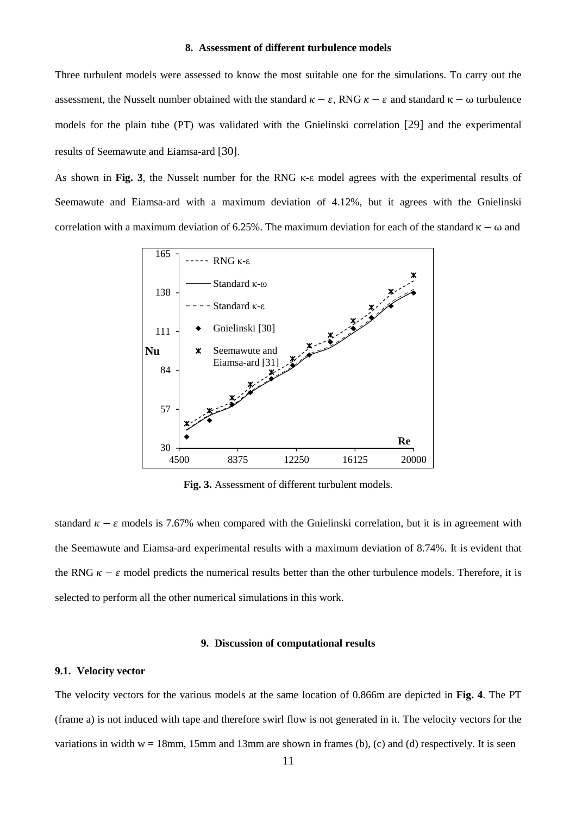## **8. Assessment of different turbulence models**

Three turbulent models were assessed to know the most suitable one for the simulations. To carry out the assessment, the Nusselt number obtained with the standard  $\kappa - \varepsilon$ , RNG  $\kappa - \varepsilon$  and standard  $\kappa - \omega$  turbulence models for the plain tube (PT) was validated with the Gnielinski correlation [29] and the experimental results of Seemawute and Eiamsa-ard [30].

As shown in **Fig. 3**, the Nusselt number for the RNG κ-ε model agrees with the experimental results of Seemawute and Eiamsa-ard with a maximum deviation of 4.12%, but it agrees with the Gnielinski correlation with a maximum deviation of 6.25%. The maximum deviation for each of the standard  $\kappa - \omega$  and



**Fig. 3.** Assessment of different turbulent models.

standard  $\kappa - \varepsilon$  models is 7.67% when compared with the Gnielinski correlation, but it is in agreement with the Seemawute and Eiamsa-ard experimental results with a maximum deviation of 8.74%. It is evident that the RNG  $\kappa - \varepsilon$  model predicts the numerical results better than the other turbulence models. Therefore, it is selected to perform all the other numerical simulations in this work.

#### **9. Discussion of computational results**

#### **9.1. Velocity vector**

The velocity vectors for the various models at the same location of 0.866m are depicted in **Fig. 4**. The PT (frame a) is not induced with tape and therefore swirl flow is not generated in it. The velocity vectors for the variations in width  $w = 18$ mm, 15mm and 13mm are shown in frames (b), (c) and (d) respectively. It is seen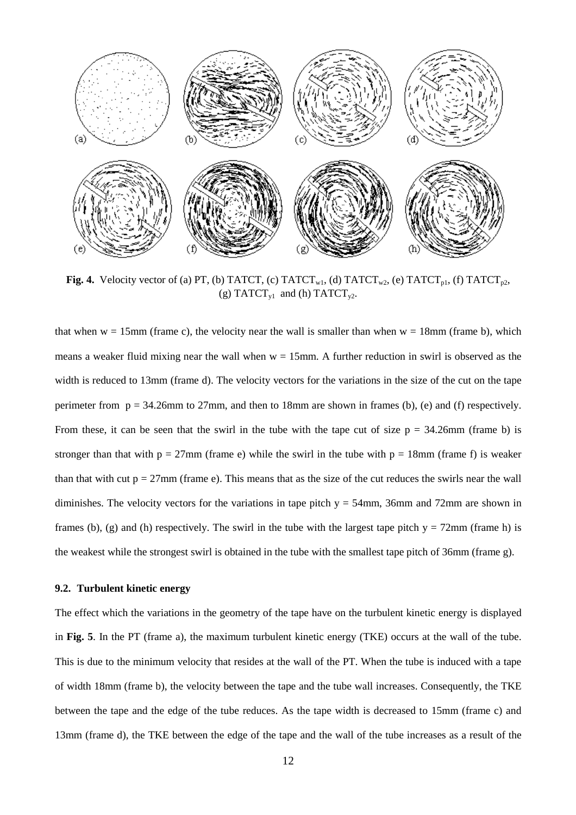

**Fig. 4.** Velocity vector of (a) PT, (b) TATCT, (c) TATCT<sub>w1</sub>, (d) TATCT<sub>w2</sub>, (e) TATCT<sub>p1</sub>, (f) TATCT<sub>p2</sub>, (g) TATCT<sub>v1</sub> and (h) TATCT<sub>v2</sub>.

that when  $w = 15$ mm (frame c), the velocity near the wall is smaller than when  $w = 18$ mm (frame b), which means a weaker fluid mixing near the wall when  $w = 15$ mm. A further reduction in swirl is observed as the width is reduced to 13mm (frame d). The velocity vectors for the variations in the size of the cut on the tape perimeter from  $p = 34.26$ mm to  $27$ mm, and then to 18mm are shown in frames (b), (e) and (f) respectively. From these, it can be seen that the swirl in the tube with the tape cut of size  $p = 34.26$ mm (frame b) is stronger than that with  $p = 27$ mm (frame e) while the swirl in the tube with  $p = 18$ mm (frame f) is weaker than that with cut  $p = 27$ mm (frame e). This means that as the size of the cut reduces the swirls near the wall diminishes. The velocity vectors for the variations in tape pitch  $y = 54$ mm, 36mm and 72mm are shown in frames (b), (g) and (h) respectively. The swirl in the tube with the largest tape pitch  $y = 72$ mm (frame h) is the weakest while the strongest swirl is obtained in the tube with the smallest tape pitch of 36mm (frame g).

## **9.2. Turbulent kinetic energy**

The effect which the variations in the geometry of the tape have on the turbulent kinetic energy is displayed in **Fig. 5**. In the PT (frame a), the maximum turbulent kinetic energy (TKE) occurs at the wall of the tube. This is due to the minimum velocity that resides at the wall of the PT. When the tube is induced with a tape of width 18mm (frame b), the velocity between the tape and the tube wall increases. Consequently, the TKE between the tape and the edge of the tube reduces. As the tape width is decreased to 15mm (frame c) and 13mm (frame d), the TKE between the edge of the tape and the wall of the tube increases as a result of the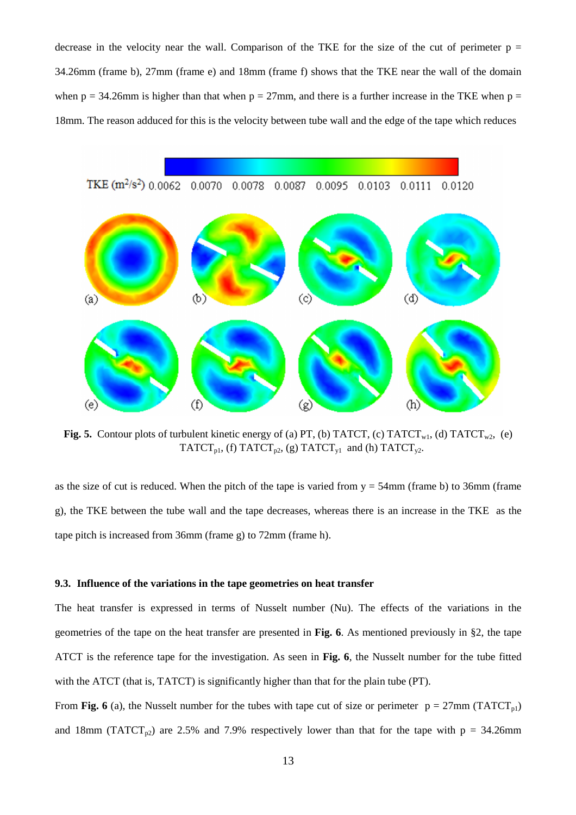decrease in the velocity near the wall. Comparison of the TKE for the size of the cut of perimeter  $p =$ 34.26mm (frame b), 27mm (frame e) and 18mm (frame f) shows that the TKE near the wall of the domain when  $p = 34.26$ mm is higher than that when  $p = 27$ mm, and there is a further increase in the TKE when  $p =$ 18mm. The reason adduced for this is the velocity between tube wall and the edge of the tape which reduces



**Fig. 5.** Contour plots of turbulent kinetic energy of (a) PT, (b) TATCT, (c) TATCT<sub>w1</sub>, (d) TATCT<sub>w2</sub>, (e) TATCT<sub>p1</sub>, (f) TATCT<sub>p2</sub>, (g) TATCT<sub>y1</sub> and (h) TATCT<sub>y2</sub>.

as the size of cut is reduced. When the pitch of the tape is varied from  $y = 54$ mm (frame b) to 36mm (frame g), the TKE between the tube wall and the tape decreases, whereas there is an increase in the TKE as the tape pitch is increased from 36mm (frame g) to 72mm (frame h).

#### **9.3. Influence of the variations in the tape geometries on heat transfer**

The heat transfer is expressed in terms of Nusselt number (Nu). The effects of the variations in the geometries of the tape on the heat transfer are presented in **Fig. 6**. As mentioned previously in §2, the tape ATCT is the reference tape for the investigation. As seen in **Fig. 6**, the Nusselt number for the tube fitted with the ATCT (that is, TATCT) is significantly higher than that for the plain tube (PT).

From **Fig. 6** (a), the Nusselt number for the tubes with tape cut of size or perimeter  $p = 27 \text{mm (TATCT}_{pl})$ and 18mm (TATCT<sub>p2</sub>) are 2.5% and 7.9% respectively lower than that for the tape with  $p = 34.26$ mm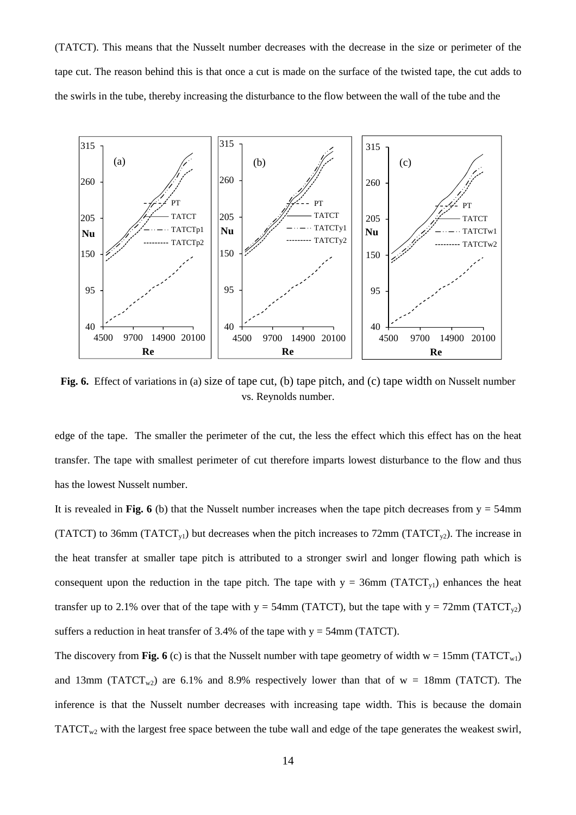(TATCT). This means that the Nusselt number decreases with the decrease in the size or perimeter of the tape cut. The reason behind this is that once a cut is made on the surface of the twisted tape, the cut adds to the swirls in the tube, thereby increasing the disturbance to the flow between the wall of the tube and the



Fig. 6. Effect of variations in (a) size of tape cut, (b) tape pitch, and (c) tape width on Nusselt number vs. Reynolds number.

edge of the tape. The smaller the perimeter of the cut, the less the effect which this effect has on the heat transfer. The tape with smallest perimeter of cut therefore imparts lowest disturbance to the flow and thus has the lowest Nusselt number.

It is revealed in Fig. 6 (b) that the Nusselt number increases when the tape pitch decreases from  $y = 54$ mm (TATCT) to 36mm (TATCT<sub>y1</sub>) but decreases when the pitch increases to 72mm (TATCT<sub>y2</sub>). The increase in the heat transfer at smaller tape pitch is attributed to a stronger swirl and longer flowing path which is consequent upon the reduction in the tape pitch. The tape with  $y = 36$ mm (TATCT<sub>y1</sub>) enhances the heat transfer up to 2.1% over that of the tape with  $y = 54$ mm (TATCT), but the tape with  $y = 72$ mm (TATCT<sub>v2</sub>) suffers a reduction in heat transfer of 3.4% of the tape with  $y = 54$ mm (TATCT).

The discovery from **Fig. 6** (c) is that the Nusselt number with tape geometry of width  $w = 15$ mm (TATCT<sub>w1</sub>) and 13mm (TATCT<sub>w2</sub>) are 6.1% and 8.9% respectively lower than that of  $w = 18$ mm (TATCT). The inference is that the Nusselt number decreases with increasing tape width. This is because the domain  $TATCT_{w2}$  with the largest free space between the tube wall and edge of the tape generates the weakest swirl,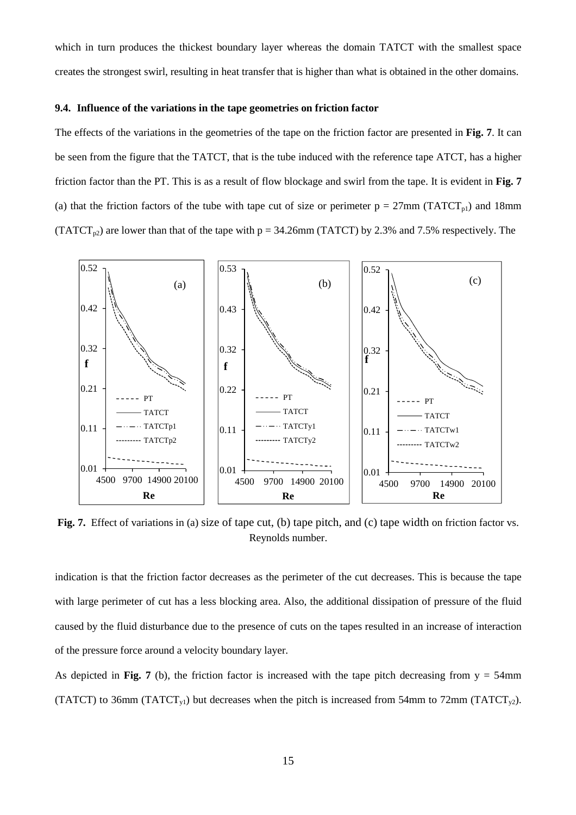which in turn produces the thickest boundary layer whereas the domain TATCT with the smallest space creates the strongest swirl, resulting in heat transfer that is higher than what is obtained in the other domains.

## **9.4. Influence of the variations in the tape geometries on friction factor**

The effects of the variations in the geometries of the tape on the friction factor are presented in **Fig. 7**. It can be seen from the figure that the TATCT, that is the tube induced with the reference tape ATCT, has a higher friction factor than the PT. This is as a result of flow blockage and swirl from the tape. It is evident in **Fig. 7**  (a) that the friction factors of the tube with tape cut of size or perimeter  $p = 27$ mm (TATCT<sub>p1</sub>) and 18mm (TATCT<sub>n2</sub>) are lower than that of the tape with  $p = 34.26$ mm (TATCT) by 2.3% and 7.5% respectively. The



**Fig. 7.** Effect of variations in (a) size of tape cut, (b) tape pitch, and (c) tape width on friction factor vs. Reynolds number.

indication is that the friction factor decreases as the perimeter of the cut decreases. This is because the tape with large perimeter of cut has a less blocking area. Also, the additional dissipation of pressure of the fluid caused by the fluid disturbance due to the presence of cuts on the tapes resulted in an increase of interaction of the pressure force around a velocity boundary layer.

As depicted in **Fig. 7** (b), the friction factor is increased with the tape pitch decreasing from  $y = 54$ mm (TATCT) to 36mm (TATCT<sub>y1</sub>) but decreases when the pitch is increased from 54mm to 72mm (TATCT<sub>y2</sub>).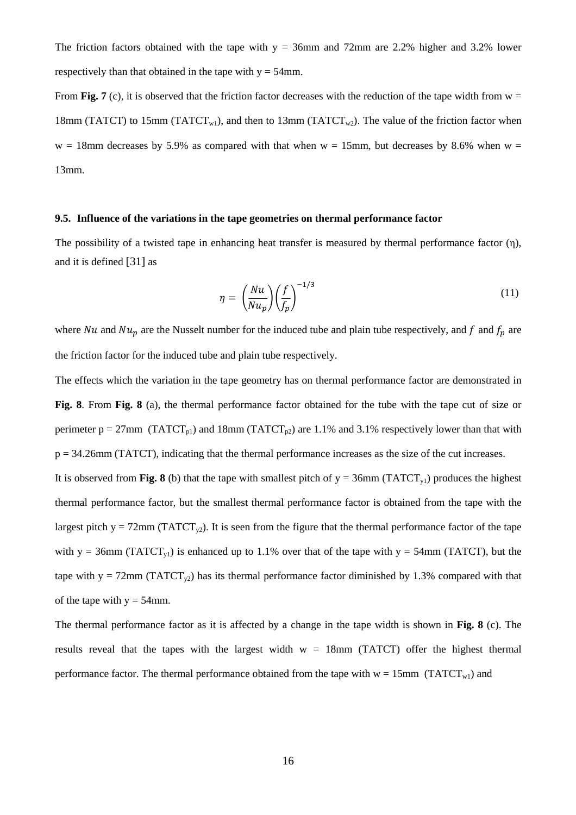The friction factors obtained with the tape with  $y = 36$ mm and 72mm are 2.2% higher and 3.2% lower respectively than that obtained in the tape with  $y = 54$ mm.

From **Fig. 7** (c), it is observed that the friction factor decreases with the reduction of the tape width from  $w =$ 18mm (TATCT) to 15mm (TATCT<sub>w1</sub>), and then to 13mm (TATCT<sub>w2</sub>). The value of the friction factor when  $w = 18$ mm decreases by 5.9% as compared with that when  $w = 15$ mm, but decreases by 8.6% when  $w =$ 13mm.

## **9.5. Influence of the variations in the tape geometries on thermal performance factor**

The possibility of a twisted tape in enhancing heat transfer is measured by thermal performance factor  $(\eta)$ , and it is defined [31] as

$$
\eta = \left(\frac{Nu}{Nu_p}\right)\left(\frac{f}{f_p}\right)^{-1/3} \tag{11}
$$

where Nu and  $Nu_p$  are the Nusselt number for the induced tube and plain tube respectively, and f and  $f_p$  are the friction factor for the induced tube and plain tube respectively.

The effects which the variation in the tape geometry has on thermal performance factor are demonstrated in **Fig. 8**. From **Fig. 8** (a), the thermal performance factor obtained for the tube with the tape cut of size or perimeter  $p = 27$ mm (TATCT<sub>p1</sub>) and 18mm (TATCT<sub>p2</sub>) are 1.1% and 3.1% respectively lower than that with  $p = 34.26$ mm (TATCT), indicating that the thermal performance increases as the size of the cut increases.

It is observed from **Fig. 8** (b) that the tape with smallest pitch of  $y = 36$ mm (TATCT<sub>y1</sub>) produces the highest thermal performance factor, but the smallest thermal performance factor is obtained from the tape with the largest pitch y = 72mm ( $TATCT_{y2}$ ). It is seen from the figure that the thermal performance factor of the tape with y = 36mm (TATCT<sub>y1</sub>) is enhanced up to 1.1% over that of the tape with y = 54mm (TATCT), but the tape with  $y = 72$ mm (TATCT<sub>y2</sub>) has its thermal performance factor diminished by 1.3% compared with that of the tape with  $y = 54$  mm.

The thermal performance factor as it is affected by a change in the tape width is shown in **Fig. 8** (c). The results reveal that the tapes with the largest width  $w = 18$ mm (TATCT) offer the highest thermal performance factor. The thermal performance obtained from the tape with  $w = 15$ mm (TATCT<sub>w1</sub>) and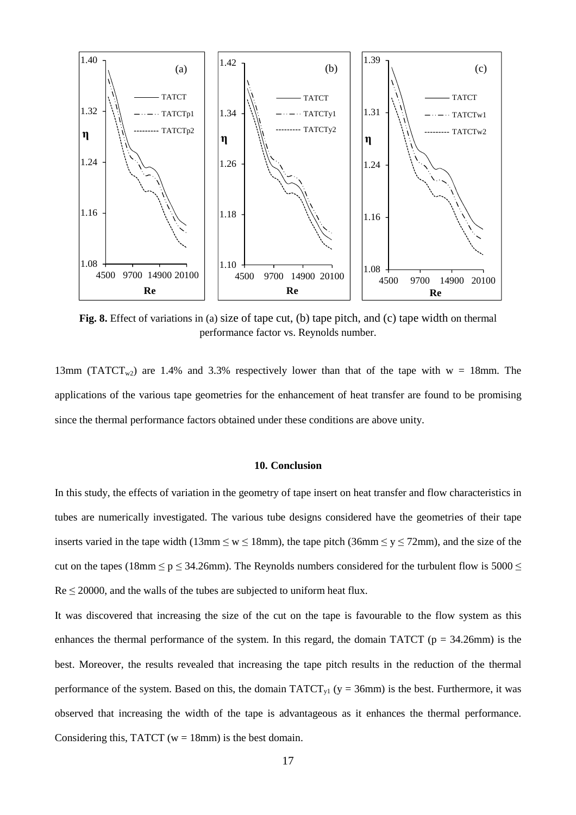

**Fig. 8.** Effect of variations in (a) size of tape cut, (b) tape pitch, and (c) tape width on thermal performance factor vs. Reynolds number.

13mm (TATCT<sub>w2</sub>) are 1.4% and 3.3% respectively lower than that of the tape with w = 18mm. The applications of the various tape geometries for the enhancement of heat transfer are found to be promising since the thermal performance factors obtained under these conditions are above unity.

## **10. Conclusion**

In this study, the effects of variation in the geometry of tape insert on heat transfer and flow characteristics in tubes are numerically investigated. The various tube designs considered have the geometries of their tape inserts varied in the tape width (13mm  $\leq w \leq 18$ mm), the tape pitch (36mm  $\leq y \leq 72$ mm), and the size of the cut on the tapes (18mm  $\leq p \leq 34.26$ mm). The Reynolds numbers considered for the turbulent flow is 5000  $\leq$  $Re \le 20000$ , and the walls of the tubes are subjected to uniform heat flux.

It was discovered that increasing the size of the cut on the tape is favourable to the flow system as this enhances the thermal performance of the system. In this regard, the domain TATCT ( $p = 34.26$ mm) is the best. Moreover, the results revealed that increasing the tape pitch results in the reduction of the thermal performance of the system. Based on this, the domain  $TATCT_{y1}$  (y = 36mm) is the best. Furthermore, it was observed that increasing the width of the tape is advantageous as it enhances the thermal performance. Considering this, TATCT ( $w = 18$ mm) is the best domain.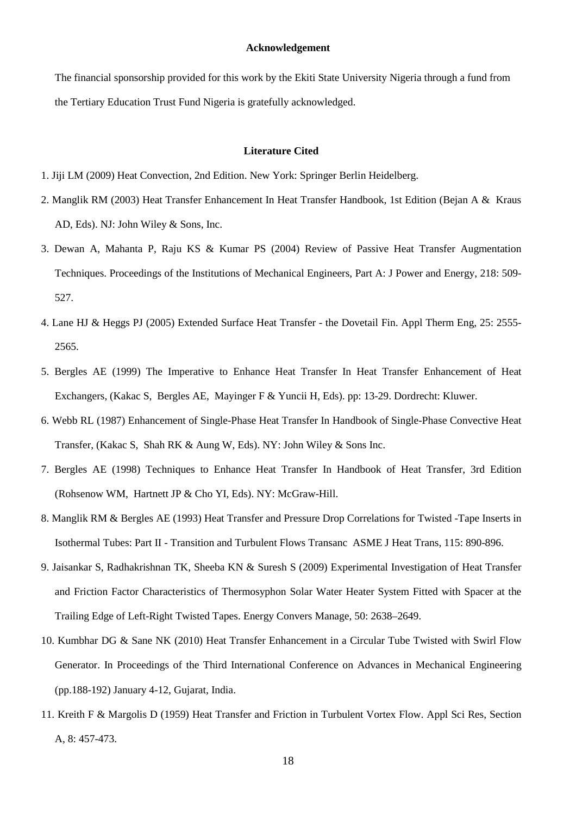## **Acknowledgement**

The financial sponsorship provided for this work by the Ekiti State University Nigeria through a fund from the Tertiary Education Trust Fund Nigeria is gratefully acknowledged.

#### **Literature Cited**

- 1. Jiji LM (2009) Heat Convection, 2nd Edition. New York: Springer Berlin Heidelberg.
- 2. Manglik RM (2003) Heat Transfer Enhancement In Heat Transfer Handbook, 1st Edition (Bejan A & Kraus AD, Eds). NJ: John Wiley & Sons, Inc.
- 3. Dewan A, Mahanta P, Raju KS & Kumar PS (2004) Review of Passive Heat Transfer Augmentation Techniques. Proceedings of the Institutions of Mechanical Engineers, Part A: J Power and Energy, 218: 509- 527.
- 4. Lane HJ & Heggs PJ (2005) Extended Surface Heat Transfer the Dovetail Fin. Appl Therm Eng, 25: 2555- 2565.
- 5. Bergles AE (1999) The Imperative to Enhance Heat Transfer In Heat Transfer Enhancement of Heat Exchangers, (Kakac S, Bergles AE, Mayinger F & Yuncii H, Eds). pp: 13-29. Dordrecht: Kluwer.
- 6. Webb RL (1987) Enhancement of Single-Phase Heat Transfer In Handbook of Single-Phase Convective Heat Transfer, (Kakac S, Shah RK & Aung W, Eds). NY: John Wiley & Sons Inc.
- 7. Bergles AE (1998) Techniques to Enhance Heat Transfer In Handbook of Heat Transfer, 3rd Edition (Rohsenow WM, Hartnett JP & Cho YI, Eds). NY: McGraw-Hill.
- 8. Manglik RM & Bergles AE (1993) Heat Transfer and Pressure Drop Correlations for Twisted -Tape Inserts in Isothermal Tubes: Part II - Transition and Turbulent Flows Transanc ASME J Heat Trans, 115: 890-896.
- 9. Jaisankar S, Radhakrishnan TK, Sheeba KN & Suresh S (2009) Experimental Investigation of Heat Transfer and Friction Factor Characteristics of Thermosyphon Solar Water Heater System Fitted with Spacer at the Trailing Edge of Left-Right Twisted Tapes. Energy Convers Manage, 50: 2638–2649.
- 10. Kumbhar DG & Sane NK (2010) Heat Transfer Enhancement in a Circular Tube Twisted with Swirl Flow Generator. In Proceedings of the Third International Conference on Advances in Mechanical Engineering (pp.188-192) January 4-12, Gujarat, India.
- 11. Kreith F & Margolis D (1959) Heat Transfer and Friction in Turbulent Vortex Flow. Appl Sci Res, Section A, 8: 457-473.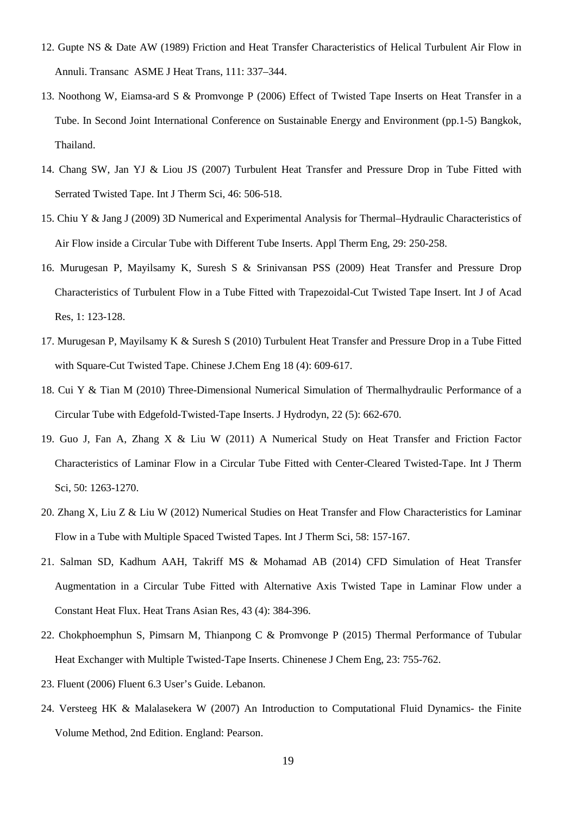- 12. Gupte NS & Date AW (1989) Friction and Heat Transfer Characteristics of Helical Turbulent Air Flow in Annuli. Transanc ASME J Heat Trans, 111: 337–344.
- 13. Noothong W, Eiamsa-ard S & Promvonge P (2006) Effect of Twisted Tape Inserts on Heat Transfer in a Tube. In Second Joint International Conference on Sustainable Energy and Environment (pp.1-5) Bangkok, Thailand.
- 14. Chang SW, Jan YJ & Liou JS (2007) Turbulent Heat Transfer and Pressure Drop in Tube Fitted with Serrated Twisted Tape. Int J Therm Sci, 46: 506-518.
- 15. Chiu Y & Jang J (2009) 3D Numerical and Experimental Analysis for Thermal–Hydraulic Characteristics of Air Flow inside a Circular Tube with Different Tube Inserts. Appl Therm Eng, 29: 250-258.
- 16. Murugesan P, Mayilsamy K, Suresh S & Srinivansan PSS (2009) Heat Transfer and Pressure Drop Characteristics of Turbulent Flow in a Tube Fitted with Trapezoidal-Cut Twisted Tape Insert. Int J of Acad Res, 1: 123-128.
- 17. Murugesan P, Mayilsamy K & Suresh S (2010) Turbulent Heat Transfer and Pressure Drop in a Tube Fitted with Square-Cut Twisted Tape. Chinese J.Chem Eng 18 (4): 609-617.
- 18. Cui Y & Tian M (2010) Three-Dimensional Numerical Simulation of Thermalhydraulic Performance of a Circular Tube with Edgefold-Twisted-Tape Inserts. J Hydrodyn, 22 (5): 662-670.
- 19. Guo J, Fan A, Zhang X & Liu W (2011) A Numerical Study on Heat Transfer and Friction Factor Characteristics of Laminar Flow in a Circular Tube Fitted with Center-Cleared Twisted-Tape. Int J Therm Sci, 50: 1263-1270.
- 20. Zhang X, Liu Z & Liu W (2012) Numerical Studies on Heat Transfer and Flow Characteristics for Laminar Flow in a Tube with Multiple Spaced Twisted Tapes. Int J Therm Sci, 58: 157-167.
- 21. Salman SD, Kadhum AAH, Takriff MS & Mohamad AB (2014) CFD Simulation of Heat Transfer Augmentation in a Circular Tube Fitted with Alternative Axis Twisted Tape in Laminar Flow under a Constant Heat Flux. Heat Trans Asian Res, 43 (4): 384-396.
- 22. Chokphoemphun S, Pimsarn M, Thianpong C & Promvonge P (2015) Thermal Performance of Tubular Heat Exchanger with Multiple Twisted-Tape Inserts. Chinenese J Chem Eng, 23: 755-762.
- 23. Fluent (2006) Fluent 6.3 User's Guide. Lebanon.
- 24. Versteeg HK & Malalasekera W (2007) An Introduction to Computational Fluid Dynamics- the Finite Volume Method, 2nd Edition. England: Pearson.